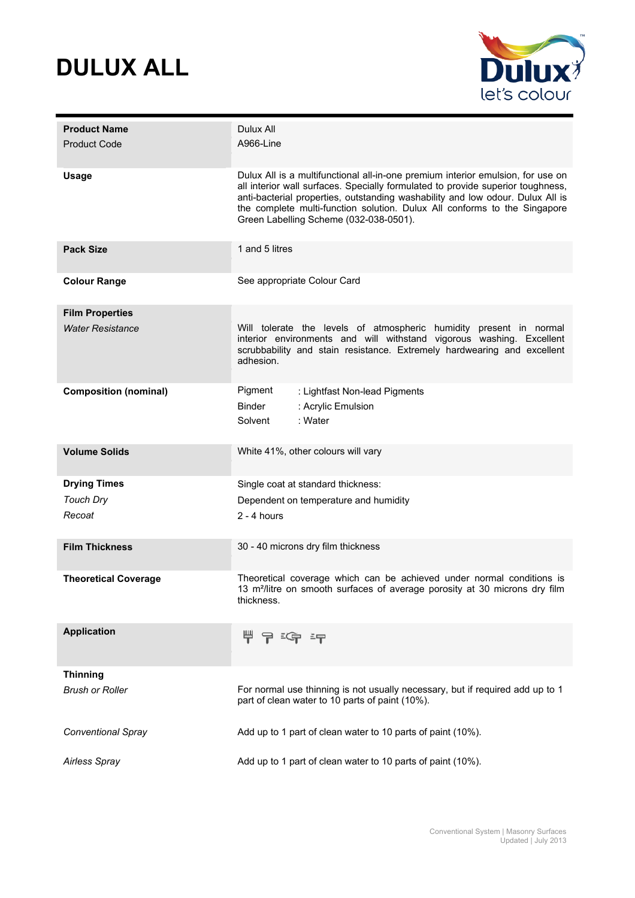



| <b>Product Name</b><br><b>Product Code</b> | Dulux All<br>A966-Line                                                                                                                                                                                                                                                                                                                                                      |  |
|--------------------------------------------|-----------------------------------------------------------------------------------------------------------------------------------------------------------------------------------------------------------------------------------------------------------------------------------------------------------------------------------------------------------------------------|--|
| <b>Usage</b>                               | Dulux All is a multifunctional all-in-one premium interior emulsion, for use on<br>all interior wall surfaces. Specially formulated to provide superior toughness,<br>anti-bacterial properties, outstanding washability and low odour. Dulux All is<br>the complete multi-function solution. Dulux All conforms to the Singapore<br>Green Labelling Scheme (032-038-0501). |  |
| <b>Pack Size</b>                           | 1 and 5 litres                                                                                                                                                                                                                                                                                                                                                              |  |
| <b>Colour Range</b>                        | See appropriate Colour Card                                                                                                                                                                                                                                                                                                                                                 |  |
| <b>Film Properties</b>                     |                                                                                                                                                                                                                                                                                                                                                                             |  |
| <b>Water Resistance</b>                    | Will tolerate the levels of atmospheric humidity present in normal<br>interior environments and will withstand vigorous washing. Excellent<br>scrubbability and stain resistance. Extremely hardwearing and excellent<br>adhesion.                                                                                                                                          |  |
| <b>Composition (nominal)</b>               | Pigment<br>: Lightfast Non-lead Pigments                                                                                                                                                                                                                                                                                                                                    |  |
|                                            | <b>Binder</b><br>: Acrylic Emulsion                                                                                                                                                                                                                                                                                                                                         |  |
|                                            | Solvent<br>: Water                                                                                                                                                                                                                                                                                                                                                          |  |
| <b>Volume Solids</b>                       | White 41%, other colours will vary                                                                                                                                                                                                                                                                                                                                          |  |
| <b>Drying Times</b>                        | Single coat at standard thickness:                                                                                                                                                                                                                                                                                                                                          |  |
| <b>Touch Dry</b>                           | Dependent on temperature and humidity                                                                                                                                                                                                                                                                                                                                       |  |
| Recoat                                     | $2 - 4$ hours                                                                                                                                                                                                                                                                                                                                                               |  |
| <b>Film Thickness</b>                      | 30 - 40 microns dry film thickness                                                                                                                                                                                                                                                                                                                                          |  |
| <b>Theoretical Coverage</b>                | Theoretical coverage which can be achieved under normal conditions is<br>13 m <sup>2</sup> /litre on smooth surfaces of average porosity at 30 microns dry film<br>thickness.                                                                                                                                                                                               |  |
| <b>Application</b>                         | -5구                                                                                                                                                                                                                                                                                                                                                                         |  |
| <b>Thinning</b>                            |                                                                                                                                                                                                                                                                                                                                                                             |  |
| <b>Brush or Roller</b>                     | For normal use thinning is not usually necessary, but if required add up to 1<br>part of clean water to 10 parts of paint (10%).                                                                                                                                                                                                                                            |  |
| Conventional Spray                         | Add up to 1 part of clean water to 10 parts of paint (10%).                                                                                                                                                                                                                                                                                                                 |  |
| <b>Airless Spray</b>                       | Add up to 1 part of clean water to 10 parts of paint (10%).                                                                                                                                                                                                                                                                                                                 |  |